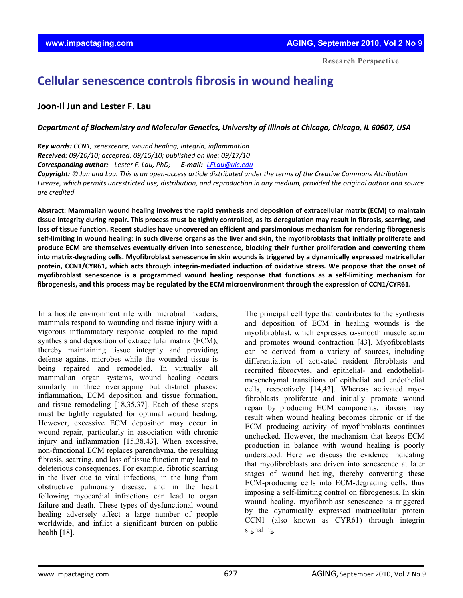**Research Perspective**

# **Cellular senescence controls fibrosis in wound healing**

## **Joon‐Il Jun and Lester F. Lau**

#### *Department of Biochemistry and Molecular Genetics, University of Illinois at Chicago, Chicago, IL 60607, USA*

*Key words: CCN1, senescence, wound healing, integrin, inflammation Received: 09/10/10; accepted: 09/15/10; published on line: 09/17/10 Corresponding author: Lester F. Lau, PhD; E‐mail: LFLau@uic.edu*

Copyright: © Jun and Lau. This is an open-access article distributed under the terms of the Creative Commons Attribution License, which permits unrestricted use, distribution, and reproduction in any medium, provided the original author and source *are credited*

Abstract: Mammalian wound healing involves the rapid synthesis and deposition of extracellular matrix (ECM) to maintain tissue integrity during repair. This process must be tightly controlled, as its deregulation may result in fibrosis, scarring, and loss of tissue function. Recent studies have uncovered an efficient and parsimonious mechanism for rendering fibrogenesis self-limiting in wound healing: in such diverse organs as the liver and skin, the myofibroblasts that initially proliferate and **produce ECM are themselves eventually driven into senescence, blocking their further proliferation and converting them** into matrix-degrading cells. Myofibroblast senescence in skin wounds is triggered by a dynamically expressed matricellular protein, CCN1/CYR61, which acts through integrin-mediated induction of oxidative stress. We propose that the onset of myofibroblast senescence is a programmed wound healing response that functions as a self-limiting mechanism for fibrogenesis, and this process may be regulated by the ECM microenvironment through the expression of CCN1/CYR61.

In a hostile environment rife with microbial invaders, mammals respond to wounding and tissue injury with a vigorous inflammatory response coupled to the rapid synthesis and deposition of extracellular matrix (ECM), thereby maintaining tissue integrity and providing defense against microbes while the wounded tissue is being repaired and remodeled. In virtually all mammalian organ systems, wound healing occurs similarly in three overlapping but distinct phases: inflammation, ECM deposition and tissue formation, and tissue remodeling [18,35,37]. Each of these steps must be tightly regulated for optimal wound healing. However, excessive ECM deposition may occur in wound repair, particularly in association with chronic injury and inflammation [15,38,43]. When excessive, non-functional ECM replaces parenchyma, the resulting fibrosis, scarring, and loss of tissue function may lead to deleterious consequences. For example, fibrotic scarring in the liver due to viral infections, in the lung from obstructive pulmonary disease, and in the heart following myocardial infractions can lead to organ failure and death. These types of dysfunctional wound healing adversely affect a large number of people worldwide, and inflict a significant burden on public health [18].

The principal cell type that contributes to the synthesis and deposition of ECM in healing wounds is the myofibroblast, which expresses  $\alpha$ -smooth muscle actin and promotes wound contraction [43]. Myofibroblasts can be derived from a variety of sources, including differentiation of activated resident fibroblasts and recruited fibrocytes, and epithelial- and endothelialmesenchymal transitions of epithelial and endothelial cells, respectively [14,43]. Whereas activated myofibroblasts proliferate and initially promote wound repair by producing ECM components, fibrosis may result when wound healing becomes chronic or if the ECM producing activity of myofibroblasts continues unchecked. However, the mechanism that keeps ECM production in balance with wound healing is poorly understood. Here we discuss the evidence indicating that myofibroblasts are driven into senescence at later stages of wound healing, thereby converting these ECM-producing cells into ECM-degrading cells, thus imposing a self-limiting control on fibrogenesis. In skin wound healing, myofibroblast senescence is triggered by the dynamically expressed matricellular protein CCN1 (also known as CYR61) through integrin signaling.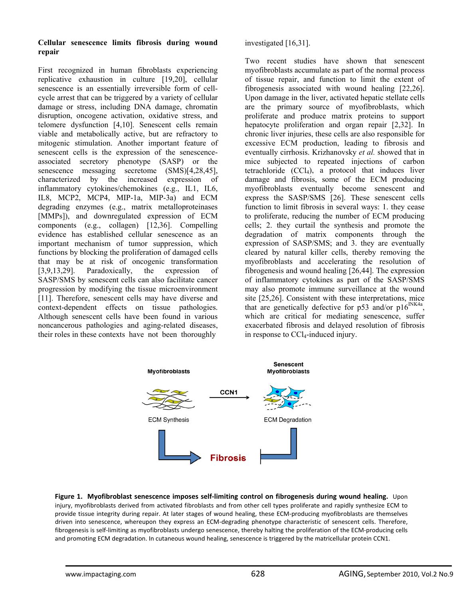#### **Cellular senescence limits fibrosis during wound repair**

First recognized in human fibroblasts experiencing replicative exhaustion in culture [19,20], cellular senescence is an essentially irreversible form of cellcycle arrest that can be triggered by a variety of cellular damage or stress, including DNA damage, chromatin disruption, oncogene activation, oxidative stress, and telomere dysfunction [4,10]. Senescent cells remain viable and metabolically active, but are refractory to mitogenic stimulation. Another important feature of senescent cells is the expression of the senescenceassociated secretory phenotype (SASP) or the senescence messaging secretome (SMS)[4,28,45], characterized by the increased expression of inflammatory cytokines/chemokines (e.g., IL1, IL6, IL8, MCP2, MCP4, MIP-1a, MIP-3a) and ECM degrading enzymes (e.g., matrix metalloproteinases [MMPs]), and downregulated expression of ECM components (e.g., collagen) [12,36]. Compelling evidence has established cellular senescence as an important mechanism of tumor suppression, which functions by blocking the proliferation of damaged cells that may be at risk of oncogenic transformation [3,9,13,29]. Paradoxically, the expression of SASP/SMS by senescent cells can also facilitate cancer progression by modifying the tissue microenvironment [11]. Therefore, senescent cells may have diverse and context-dependent effects on tissue pathologies. Although senescent cells have been found in various noncancerous pathologies and aging-related diseases, their roles in these contexts have not been thoroughly

investigated [16,31].

Two recent studies have shown that senescent myofibroblasts accumulate as part of the normal process of tissue repair, and function to limit the extent of fibrogenesis associated with wound healing [22,26]. Upon damage in the liver, activated hepatic stellate cells are the primary source of myofibroblasts, which proliferate and produce matrix proteins to support hepatocyte proliferation and organ repair [2,32]. In chronic liver injuries, these cells are also responsible for excessive ECM production, leading to fibrosis and eventually cirrhosis. Krizhanovsky *et al.* showed that in mice subjected to repeated injections of carbon tetrachloride  $(CCl<sub>4</sub>)$ , a protocol that induces liver damage and fibrosis, some of the ECM producing myofibroblasts eventually become senescent and express the SASP/SMS [26]. These senescent cells function to limit fibrosis in several ways: 1. they cease to proliferate, reducing the number of ECM producing cells; 2. they curtail the synthesis and promote the degradation of matrix components through the expression of SASP/SMS; and 3. they are eventually cleared by natural killer cells, thereby removing the myofibroblasts and accelerating the resolution of fibrogenesis and wound healing [26,44]. The expression of inflammatory cytokines as part of the SASP/SMS may also promote immune surveillance at the wound site [25,26]. Consistent with these interpretations, mice that are genetically defective for p53 and/or  $p16^{INK4a}$ , which are critical for mediating senescence, suffer exacerbated fibrosis and delayed resolution of fibrosis in response to  $CCl<sub>4</sub>$ -induced injury.



**Figure 1. Myofibroblast senescence imposes self‐limiting control on fibrogenesis during wound healing.** Upon injury, myofibroblasts derived from activated fibroblasts and from other cell types proliferate and rapidly synthesize ECM to provide tissue integrity during repair. At later stages of wound healing, these ECM‐producing myofibroblasts are themselves driven into senescence, whereupon they express an ECM‐degrading phenotype characteristic of senescent cells. Therefore, fibrogenesis is self-limiting as myofibroblasts undergo senescence, thereby halting the proliferation of the ECM-producing cells and promoting ECM degradation. In cutaneous wound healing, senescence is triggered by the matricellular protein CCN1.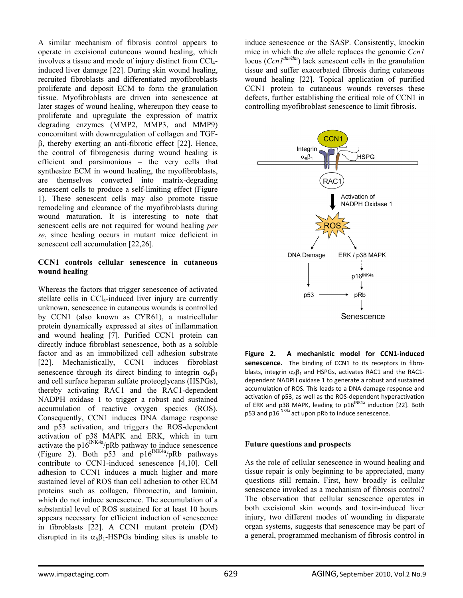A similar mechanism of fibrosis control appears to operate in excisional cutaneous wound healing, which involves a tissue and mode of injury distinct from  $CCl<sub>4</sub>$ induced liver damage [22]. During skin wound healing, recruited fibroblasts and differentiated myofibroblasts proliferate and deposit ECM to form the granulation tissue. Myofibroblasts are driven into senescence at later stages of wound healing, whereupon they cease to proliferate and upregulate the expression of matrix degrading enzymes (MMP2, MMP3, and MMP9) concomitant with downregulation of collagen and TGFβ, thereby exerting an anti-fibrotic effect [22]. Hence, the control of fibrogenesis during wound healing is efficient and parsimonious – the very cells that synthesize ECM in wound healing, the myofibroblasts, are themselves converted into matrix-degrading senescent cells to produce a self-limiting effect (Figure 1). These senescent cells may also promote tissue remodeling and clearance of the myofibroblasts during wound maturation. It is interesting to note that senescent cells are not required for wound healing *per se*, since healing occurs in mutant mice deficient in senescent cell accumulation [22,26].

#### **CCN1 controls cellular senescence in cutaneous wound healing**

Whereas the factors that trigger senescence of activated stellate cells in CCl<sub>4</sub>-induced liver injury are currently unknown, senescence in cutaneous wounds is controlled by CCN1 (also known as CYR61), a matricellular protein dynamically expressed at sites of inflammation and wound healing [7]. Purified CCN1 protein can directly induce fibroblast senescence, both as a soluble factor and as an immobilized cell adhesion substrate [22]. Mechanistically, CCN1 induces fibroblast senescence through its direct binding to integrin  $\alpha_6\beta_1$ and cell surface heparan sulfate proteoglycans (HSPGs), thereby activating RAC1 and the RAC1-dependent NADPH oxidase 1 to trigger a robust and sustained accumulation of reactive oxygen species (ROS). Consequently, CCN1 induces DNA damage response and p53 activation, and triggers the ROS-dependent activation of p38 MAPK and ERK, which in turn activate the p16<sup>INK4a</sup>/pRb pathway to induce senescence (Figure 2). Both p53 and  $p16^{INK4a}/pRb$  pathways contribute to CCN1-induced senescence [4,10]. Cell adhesion to CCN1 induces a much higher and more sustained level of ROS than cell adhesion to other ECM proteins such as collagen, fibronectin, and laminin, which do not induce senescence. The accumulation of a substantial level of ROS sustained for at least 10 hours appears necessary for efficient induction of senescence in fibroblasts [22]. A CCN1 mutant protein (DM) disrupted in its  $\alpha_6\beta_1$ -HSPGs binding sites is unable to

induce senescence or the SASP. Consistently, knockin mice in which the *dm* allele replaces the genomic *Ccn1* locus (*Ccn1dm/dm*) lack senescent cells in the granulation tissue and suffer exacerbated fibrosis during cutaneous wound healing [22]. Topical application of purified CCN1 protein to cutaneous wounds reverses these defects, further establishing the critical role of CCN1 in controlling myofibroblast senescence to limit fibrosis.



**Figure 2. A mechanistic model for CCN1‐induced** senescence. The binding of CCN1 to its receptors in fibroblasts, integrin  $\alpha_6\beta_1$  and HSPGs, activates RAC1 and the RAC1dependent NADPH oxidase 1 to generate a robust and sustained accumulation of ROS. This leads to a DNA damage response and activation of p53, as well as the ROS‐dependent hyperactivation of ERK and p38 MAPK, leading to  $p16^{NKAa}$  induction [22]. Both p53 and p16<sup>INK4a</sup> act upon pRb to induce senescence.

#### **Future questions and prospects**

As the role of cellular senescence in wound healing and tissue repair is only beginning to be appreciated, many questions still remain. First, how broadly is cellular senescence invoked as a mechanism of fibrosis control? The observation that cellular senescence operates in both excisional skin wounds and toxin-induced liver injury, two different modes of wounding in disparate organ systems, suggests that senescence may be part of a general, programmed mechanism of fibrosis control in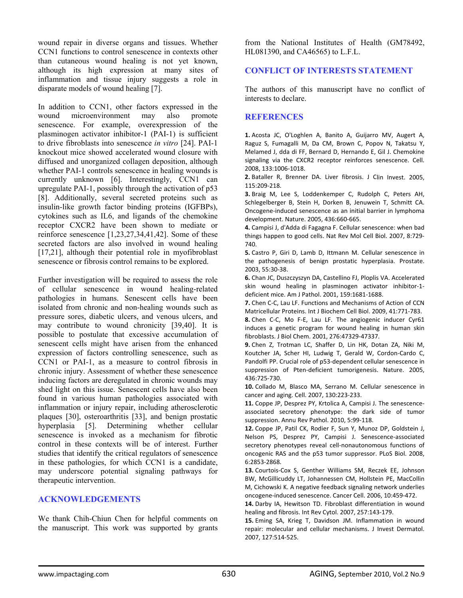wound repair in diverse organs and tissues. Whether CCN1 functions to control senescence in contexts other than cutaneous wound healing is not yet known, although its high expression at many sites of inflammation and tissue injury suggests a role in disparate models of wound healing [7].

In addition to CCN1, other factors expressed in the wound microenvironment may also promote senescence. For example, overexpression of the plasminogen activator inhibitor-1 (PAI-1) is sufficient to drive fibroblasts into senescence *in vitro* [24]. PAI-1 knockout mice showed accelerated wound closure with diffused and unorganized collagen deposition, although whether PAI-1 controls senescence in healing wounds is currently unknown [6]. Interestingly, CCN1 can upregulate PAI-1, possibly through the activation of p53 [8]. Additionally, several secreted proteins such as insulin-like growth factor binding proteins (IGFBPs), cytokines such as IL6, and ligands of the chemokine receptor CXCR2 have been shown to mediate or reinforce senescence [1,23,27,34,41,42]. Some of these secreted factors are also involved in wound healing [17,21], although their potential role in myofibroblast senescence or fibrosis control remains to be explored.

Further investigation will be required to assess the role of cellular senescence in wound healing-related pathologies in humans. Senescent cells have been isolated from chronic and non-healing wounds such as pressure sores, diabetic ulcers, and venous ulcers, and may contribute to wound chronicity [39,40]. It is possible to postulate that excessive accumulation of senescent cells might have arisen from the enhanced expression of factors controlling senescence, such as CCN1 or PAI-1, as a measure to control fibrosis in chronic injury. Assessment of whether these senescence inducing factors are deregulated in chronic wounds may shed light on this issue. Senescent cells have also been found in various human pathologies associated with inflammation or injury repair, including atherosclerotic plaques [30], osteroarthritis [33], and benign prostatic hyperplasia [5]. Determining whether cellular senescence is invoked as a mechanism for fibrotic control in these contexts will be of interest. Further studies that identify the critical regulators of senescence in these pathologies, for which CCN1 is a candidate, may underscore potential signaling pathways for therapeutic intervention.

### **ACKNOWLEDGEMENTS**

We thank Chih-Chiun Chen for helpful comments on the manuscript. This work was supported by grants

from the National Institutes of Health (GM78492, HL081390, and CA46565) to L.F.L.

# **CONFLICT OF INTERESTS STATEMENT**

The authors of this manuscript have no conflict of interests to declare.

#### **REFERENCES**

**1.** Acosta JC, O'Loghlen A, Banito A, Guijarro MV, Augert A, Raguz S, Fumagalli M, Da CM, Brown C, Popov N, Takatsu Y, Melamed J, dda di FF, Bernard D, Hernando E, Gil J. Chemokine signaling via the CXCR2 receptor reinforces senescence. Cell. 2008, 133:1006‐1018.

**2.** Bataller R, Brenner DA. Liver fibrosis. J Clin Invest. 2005, 115:209‐218.

**3.** Braig M, Lee S, Loddenkemper C, Rudolph C, Peters AH, Schlegelberger B, Stein H, Dorken B, Jenuwein T, Schmitt CA. Oncogene‐induced senescence as an initial barrier in lymphoma development. Nature. 2005, 436:660‐665.

**4.** Campisi J, d'Adda di Fagagna F. Cellular senescence: when bad things happen to good cells. Nat Rev Mol Cell Biol. 2007, 8:729‐ 740.

**5.** Castro P, Giri D, Lamb D, Ittmann M. Cellular senescence in the pathogenesis of benign prostatic hyperplasia. Prostate. 2003, 55:30‐38.

**6.** Chan JC, Duszczyszyn DA, Castellino FJ, Ploplis VA. Accelerated skin wound healing in plasminogen activator inhibitor‐1‐ deficient mice. Am J Pathol. 2001, 159:1681‐1688.

**7.** Chen C‐C, Lau LF. Functions and Mechanisms of Action of CCN Matricellular Proteins. Int J Biochem Cell Biol. 2009, 41:771‐783. **8.** Chen C‐C, Mo F‐E, Lau LF. The angiogenic inducer Cyr61 induces a genetic program for wound healing in human skin fibroblasts. J Biol Chem. 2001, 276:47329‐47337.

**9.** Chen Z, Trotman LC, Shaffer D, Lin HK, Dotan ZA, Niki M, Koutcher JA, Scher HI, Ludwig T, Gerald W, Cordon‐Cardo C, Pandolfi PP. Crucial role of p53‐dependent cellular senescence in suppression of Pten-deficient tumorigenesis. Nature. 2005, 436:725‐730.

**10.** Collado M, Blasco MA, Serrano M. Cellular senescence in cancer and aging. Cell. 2007, 130:223‐233.

**11.** Coppe JP, Desprez PY, Krtolica A, Campisi J. The senescence‐ associated secretory phenotype: the dark side of tumor suppression. Annu Rev Pathol. 2010, 5:99‐118.

**12.** Coppe JP, Patil CK, Rodier F, Sun Y, Munoz DP, Goldstein J, Nelson PS, Desprez PY, Campisi J. Senescence‐associated secretory phenotypes reveal cell-nonautonomous functions of oncogenic RAS and the p53 tumor suppressor. PLoS Biol. 2008, 6:2853‐2868.

**13.** Courtois‐Cox S, Genther Williams SM, Reczek EE, Johnson BW, McGillicuddy LT, Johannessen CM, Hollstein PE, MacCollin M, Cichowski K. A negative feedback signaling network underlies oncogene‐induced senescence. Cancer Cell. 2006, 10:459‐472.

**14.** Darby IA, Hewitson TD. Fibroblast differentiation in wound healing and fibrosis. Int Rev Cytol. 2007, 257:143‐179.

**15.** Eming SA, Krieg T, Davidson JM. Inflammation in wound repair: molecular and cellular mechanisms. J Invest Dermatol. 2007, 127:514‐525.